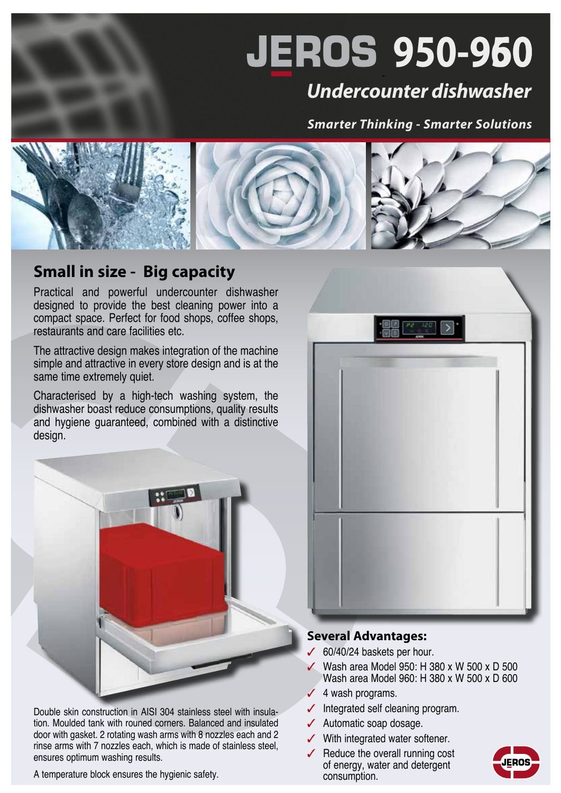# **JEROS 950-960**

## *Undercounter dishwasher*

#### *Smarter Thinking - Smarter Solutions*



### **Small in size - Big capacity**

Practical and powerful undercounter dishwasher designed to provide the best cleaning power into a compact space. Perfect for food shops, coffee shops, restaurants and care facilities etc.

The attractive design makes integration of the machine simple and attractive in every store design and is at the same time extremely quiet.

Characterised by a high-tech washing system, the dishwasher boast reduce consumptions, quality results and hygiene guaranteed, combined with a distinctive design.



#### **Several Advantages:**

- 60/40/24 baskets per hour.
- 3 Wash area Model 950: H 380 x W 500 x D 500 Wash area Model 960: H 380 x W 500 x D 600
- $\checkmark$  4 wash programs.
- $\checkmark$  Integrated self cleaning program.
- $\sqrt{\phantom{a}}$  Automatic soap dosage.
- $\checkmark$  With integrated water softener.
- $\sqrt{\ }$  Reduce the overall running cost of energy, water and detergent consumption.



Double skin construction in AISI 304 stainless steel with insulation. Moulded tank with rouned corners. Balanced and insulated door with gasket. 2 rotating wash arms with 8 nozzles each and 2 rinse arms with 7 nozzles each, which is made of stainless steel, ensures optimum washing results.

A temperature block ensures the hygienic safety.